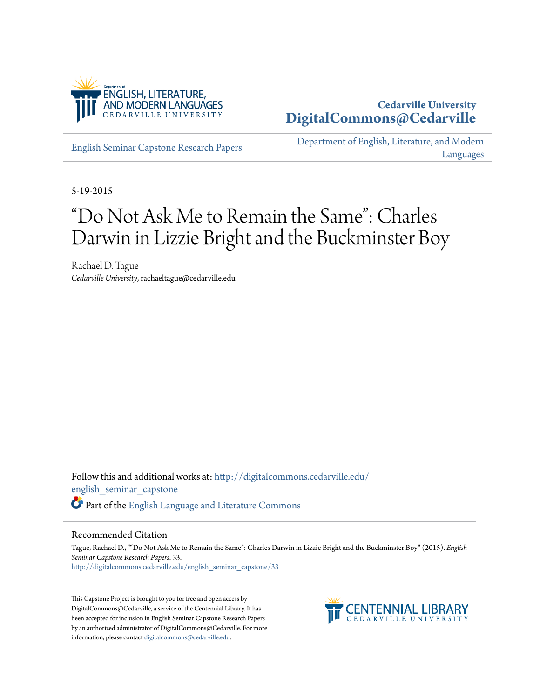

## **Cedarville University [DigitalCommons@Cedarville](http://digitalcommons.cedarville.edu?utm_source=digitalcommons.cedarville.edu%2Fenglish_seminar_capstone%2F33&utm_medium=PDF&utm_campaign=PDFCoverPages)**

[English Seminar Capstone Research Papers](http://digitalcommons.cedarville.edu/english_seminar_capstone?utm_source=digitalcommons.cedarville.edu%2Fenglish_seminar_capstone%2F33&utm_medium=PDF&utm_campaign=PDFCoverPages)

[Department of English, Literature, and Modern](http://digitalcommons.cedarville.edu/english_literature_modern_languages?utm_source=digitalcommons.cedarville.edu%2Fenglish_seminar_capstone%2F33&utm_medium=PDF&utm_campaign=PDFCoverPages) [Languages](http://digitalcommons.cedarville.edu/english_literature_modern_languages?utm_source=digitalcommons.cedarville.edu%2Fenglish_seminar_capstone%2F33&utm_medium=PDF&utm_campaign=PDFCoverPages)

5-19-2015

# "Do Not Ask Me to Remain the Same": Charles Darwin in Lizzie Bright and the Buckminster Boy

Rachael D. Tague *Cedarville University*, rachaeltague@cedarville.edu

Follow this and additional works at: [http://digitalcommons.cedarville.edu/](http://digitalcommons.cedarville.edu/english_seminar_capstone?utm_source=digitalcommons.cedarville.edu%2Fenglish_seminar_capstone%2F33&utm_medium=PDF&utm_campaign=PDFCoverPages) [english\\_seminar\\_capstone](http://digitalcommons.cedarville.edu/english_seminar_capstone?utm_source=digitalcommons.cedarville.edu%2Fenglish_seminar_capstone%2F33&utm_medium=PDF&utm_campaign=PDFCoverPages) Part of the [English Language and Literature Commons](http://network.bepress.com/hgg/discipline/455?utm_source=digitalcommons.cedarville.edu%2Fenglish_seminar_capstone%2F33&utm_medium=PDF&utm_campaign=PDFCoverPages)

### Recommended Citation

Tague, Rachael D., ""Do Not Ask Me to Remain the Same": Charles Darwin in Lizzie Bright and the Buckminster Boy" (2015). *English Seminar Capstone Research Papers*. 33. [http://digitalcommons.cedarville.edu/english\\_seminar\\_capstone/33](http://digitalcommons.cedarville.edu/english_seminar_capstone/33?utm_source=digitalcommons.cedarville.edu%2Fenglish_seminar_capstone%2F33&utm_medium=PDF&utm_campaign=PDFCoverPages)

This Capstone Project is brought to you for free and open access by DigitalCommons@Cedarville, a service of the Centennial Library. It has been accepted for inclusion in English Seminar Capstone Research Papers by an authorized administrator of DigitalCommons@Cedarville. For more information, please contact [digitalcommons@cedarville.edu.](mailto:digitalcommons@cedarville.edu)

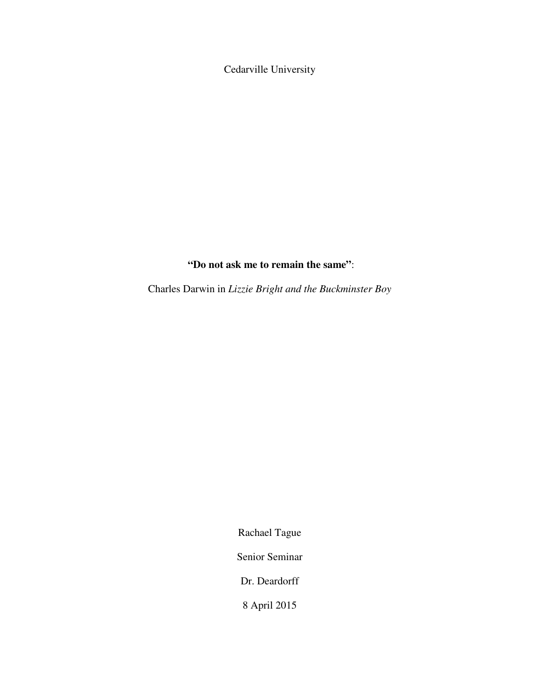Cedarville University

## **"Do not ask me to remain the same"**:

Charles Darwin in *Lizzie Bright and the Buckminster Boy* 

Rachael Tague

Senior Seminar

Dr. Deardorff

8 April 2015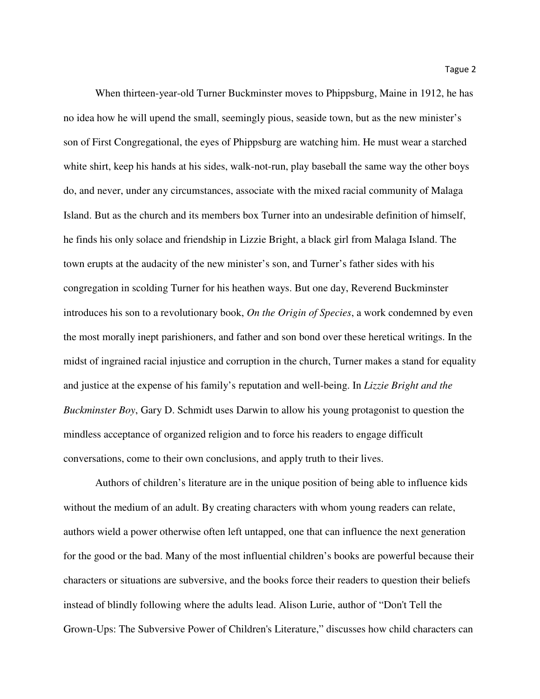When thirteen-year-old Turner Buckminster moves to Phippsburg, Maine in 1912, he has no idea how he will upend the small, seemingly pious, seaside town, but as the new minister's son of First Congregational, the eyes of Phippsburg are watching him. He must wear a starched white shirt, keep his hands at his sides, walk-not-run, play baseball the same way the other boys do, and never, under any circumstances, associate with the mixed racial community of Malaga Island. But as the church and its members box Turner into an undesirable definition of himself, he finds his only solace and friendship in Lizzie Bright, a black girl from Malaga Island. The town erupts at the audacity of the new minister's son, and Turner's father sides with his congregation in scolding Turner for his heathen ways. But one day, Reverend Buckminster introduces his son to a revolutionary book, *On the Origin of Species*, a work condemned by even the most morally inept parishioners, and father and son bond over these heretical writings. In the midst of ingrained racial injustice and corruption in the church, Turner makes a stand for equality and justice at the expense of his family's reputation and well-being. In *Lizzie Bright and the Buckminster Boy*, Gary D. Schmidt uses Darwin to allow his young protagonist to question the mindless acceptance of organized religion and to force his readers to engage difficult conversations, come to their own conclusions, and apply truth to their lives.

Authors of children's literature are in the unique position of being able to influence kids without the medium of an adult. By creating characters with whom young readers can relate, authors wield a power otherwise often left untapped, one that can influence the next generation for the good or the bad. Many of the most influential children's books are powerful because their characters or situations are subversive, and the books force their readers to question their beliefs instead of blindly following where the adults lead. Alison Lurie, author of "Don't Tell the Grown-Ups: The Subversive Power of Children's Literature," discusses how child characters can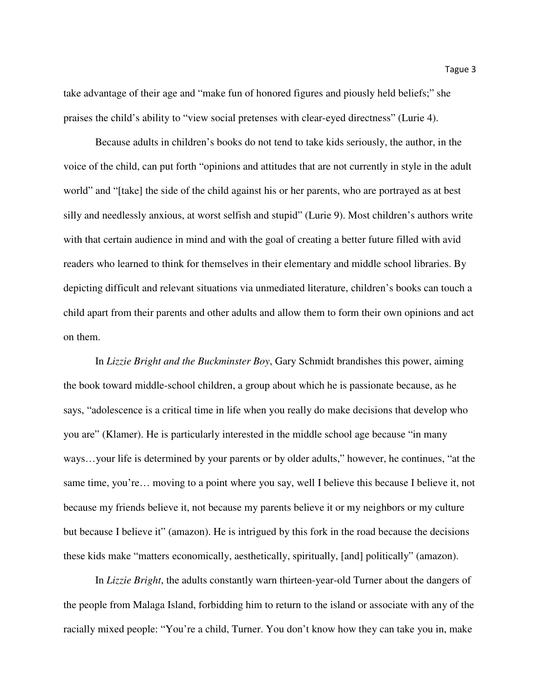take advantage of their age and "make fun of honored figures and piously held beliefs;" she praises the child's ability to "view social pretenses with clear-eyed directness" (Lurie 4).

Because adults in children's books do not tend to take kids seriously, the author, in the voice of the child, can put forth "opinions and attitudes that are not currently in style in the adult world" and "[take] the side of the child against his or her parents, who are portrayed as at best silly and needlessly anxious, at worst selfish and stupid" (Lurie 9). Most children's authors write with that certain audience in mind and with the goal of creating a better future filled with avid readers who learned to think for themselves in their elementary and middle school libraries. By depicting difficult and relevant situations via unmediated literature, children's books can touch a child apart from their parents and other adults and allow them to form their own opinions and act on them.

In *Lizzie Bright and the Buckminster Boy*, Gary Schmidt brandishes this power, aiming the book toward middle-school children, a group about which he is passionate because, as he says, "adolescence is a critical time in life when you really do make decisions that develop who you are" (Klamer). He is particularly interested in the middle school age because "in many ways…your life is determined by your parents or by older adults," however, he continues, "at the same time, you're… moving to a point where you say, well I believe this because I believe it, not because my friends believe it, not because my parents believe it or my neighbors or my culture but because I believe it" (amazon). He is intrigued by this fork in the road because the decisions these kids make "matters economically, aesthetically, spiritually, [and] politically" (amazon).

In *Lizzie Bright*, the adults constantly warn thirteen-year-old Turner about the dangers of the people from Malaga Island, forbidding him to return to the island or associate with any of the racially mixed people: "You're a child, Turner. You don't know how they can take you in, make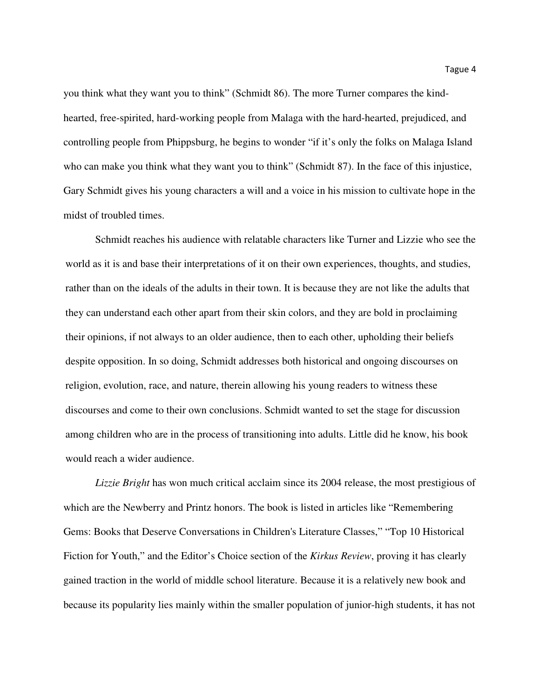you think what they want you to think" (Schmidt 86). The more Turner compares the kindhearted, free-spirited, hard-working people from Malaga with the hard-hearted, prejudiced, and controlling people from Phippsburg, he begins to wonder "if it's only the folks on Malaga Island who can make you think what they want you to think" (Schmidt 87). In the face of this injustice, Gary Schmidt gives his young characters a will and a voice in his mission to cultivate hope in the midst of troubled times.

Schmidt reaches his audience with relatable characters like Turner and Lizzie who see the world as it is and base their interpretations of it on their own experiences, thoughts, and studies, rather than on the ideals of the adults in their town. It is because they are not like the adults that they can understand each other apart from their skin colors, and they are bold in proclaiming their opinions, if not always to an older audience, then to each other, upholding their beliefs despite opposition. In so doing, Schmidt addresses both historical and ongoing discourses on religion, evolution, race, and nature, therein allowing his young readers to witness these discourses and come to their own conclusions. Schmidt wanted to set the stage for discussion among children who are in the process of transitioning into adults. Little did he know, his book would reach a wider audience.

*Lizzie Bright* has won much critical acclaim since its 2004 release, the most prestigious of which are the Newberry and Printz honors. The book is listed in articles like "Remembering Gems: Books that Deserve Conversations in Children's Literature Classes," "Top 10 Historical Fiction for Youth," and the Editor's Choice section of the *Kirkus Review*, proving it has clearly gained traction in the world of middle school literature. Because it is a relatively new book and because its popularity lies mainly within the smaller population of junior-high students, it has not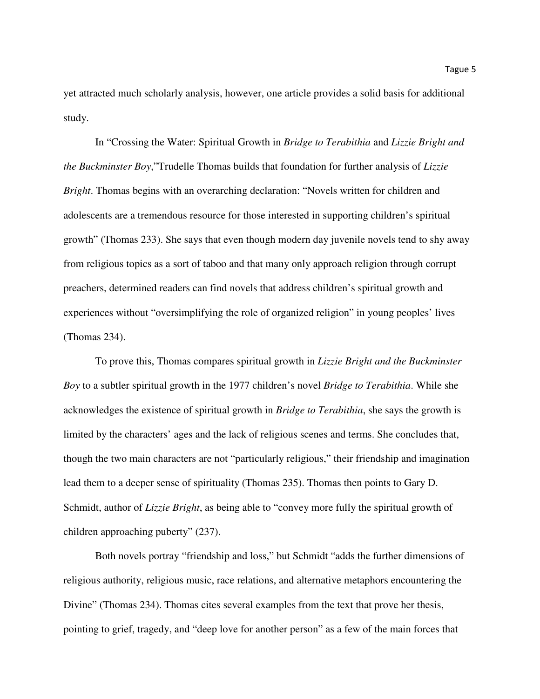yet attracted much scholarly analysis, however, one article provides a solid basis for additional study.

In "Crossing the Water: Spiritual Growth in *Bridge to Terabithia* and *Lizzie Bright and the Buckminster Boy*,"Trudelle Thomas builds that foundation for further analysis of *Lizzie Bright*. Thomas begins with an overarching declaration: "Novels written for children and adolescents are a tremendous resource for those interested in supporting children's spiritual growth" (Thomas 233). She says that even though modern day juvenile novels tend to shy away from religious topics as a sort of taboo and that many only approach religion through corrupt preachers, determined readers can find novels that address children's spiritual growth and experiences without "oversimplifying the role of organized religion" in young peoples' lives (Thomas 234).

To prove this, Thomas compares spiritual growth in *Lizzie Bright and the Buckminster Boy* to a subtler spiritual growth in the 1977 children's novel *Bridge to Terabithia*. While she acknowledges the existence of spiritual growth in *Bridge to Terabithia*, she says the growth is limited by the characters' ages and the lack of religious scenes and terms. She concludes that, though the two main characters are not "particularly religious," their friendship and imagination lead them to a deeper sense of spirituality (Thomas 235). Thomas then points to Gary D. Schmidt, author of *Lizzie Bright*, as being able to "convey more fully the spiritual growth of children approaching puberty" (237).

Both novels portray "friendship and loss," but Schmidt "adds the further dimensions of religious authority, religious music, race relations, and alternative metaphors encountering the Divine" (Thomas 234). Thomas cites several examples from the text that prove her thesis, pointing to grief, tragedy, and "deep love for another person" as a few of the main forces that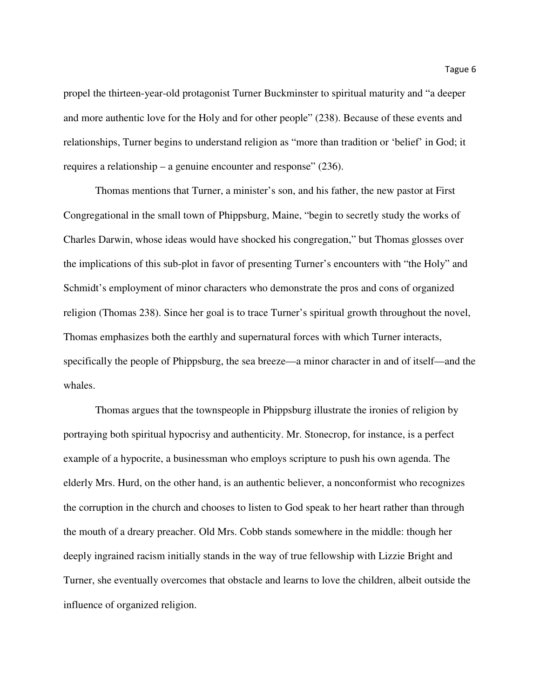propel the thirteen-year-old protagonist Turner Buckminster to spiritual maturity and "a deeper and more authentic love for the Holy and for other people" (238). Because of these events and relationships, Turner begins to understand religion as "more than tradition or 'belief' in God; it requires a relationship – a genuine encounter and response" (236).

Thomas mentions that Turner, a minister's son, and his father, the new pastor at First Congregational in the small town of Phippsburg, Maine, "begin to secretly study the works of Charles Darwin, whose ideas would have shocked his congregation," but Thomas glosses over the implications of this sub-plot in favor of presenting Turner's encounters with "the Holy" and Schmidt's employment of minor characters who demonstrate the pros and cons of organized religion (Thomas 238). Since her goal is to trace Turner's spiritual growth throughout the novel, Thomas emphasizes both the earthly and supernatural forces with which Turner interacts, specifically the people of Phippsburg, the sea breeze—a minor character in and of itself—and the whales.

Thomas argues that the townspeople in Phippsburg illustrate the ironies of religion by portraying both spiritual hypocrisy and authenticity. Mr. Stonecrop, for instance, is a perfect example of a hypocrite, a businessman who employs scripture to push his own agenda. The elderly Mrs. Hurd, on the other hand, is an authentic believer, a nonconformist who recognizes the corruption in the church and chooses to listen to God speak to her heart rather than through the mouth of a dreary preacher. Old Mrs. Cobb stands somewhere in the middle: though her deeply ingrained racism initially stands in the way of true fellowship with Lizzie Bright and Turner, she eventually overcomes that obstacle and learns to love the children, albeit outside the influence of organized religion.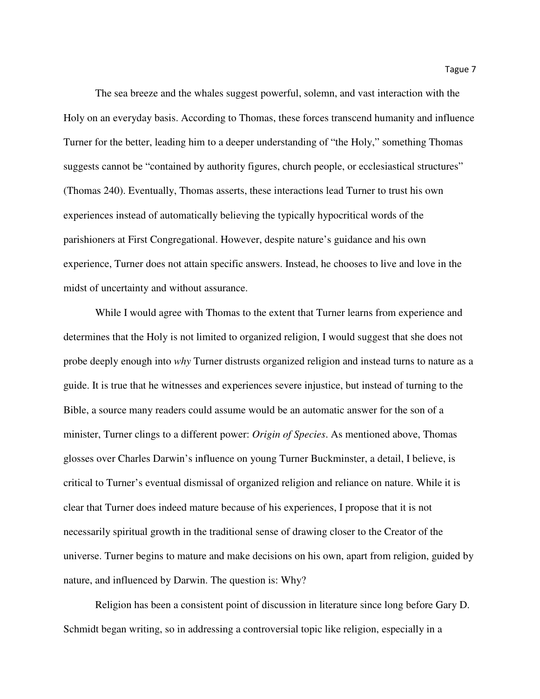The sea breeze and the whales suggest powerful, solemn, and vast interaction with the Holy on an everyday basis. According to Thomas, these forces transcend humanity and influence Turner for the better, leading him to a deeper understanding of "the Holy," something Thomas suggests cannot be "contained by authority figures, church people, or ecclesiastical structures" (Thomas 240). Eventually, Thomas asserts, these interactions lead Turner to trust his own experiences instead of automatically believing the typically hypocritical words of the parishioners at First Congregational. However, despite nature's guidance and his own experience, Turner does not attain specific answers. Instead, he chooses to live and love in the midst of uncertainty and without assurance.

While I would agree with Thomas to the extent that Turner learns from experience and determines that the Holy is not limited to organized religion, I would suggest that she does not probe deeply enough into *why* Turner distrusts organized religion and instead turns to nature as a guide. It is true that he witnesses and experiences severe injustice, but instead of turning to the Bible, a source many readers could assume would be an automatic answer for the son of a minister, Turner clings to a different power: *Origin of Species*. As mentioned above, Thomas glosses over Charles Darwin's influence on young Turner Buckminster, a detail, I believe, is critical to Turner's eventual dismissal of organized religion and reliance on nature. While it is clear that Turner does indeed mature because of his experiences, I propose that it is not necessarily spiritual growth in the traditional sense of drawing closer to the Creator of the universe. Turner begins to mature and make decisions on his own, apart from religion, guided by nature, and influenced by Darwin. The question is: Why?

Religion has been a consistent point of discussion in literature since long before Gary D. Schmidt began writing, so in addressing a controversial topic like religion, especially in a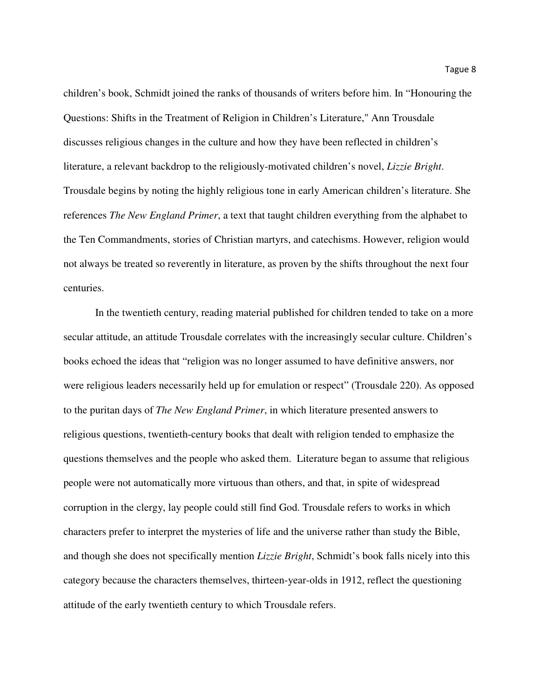children's book, Schmidt joined the ranks of thousands of writers before him. In "Honouring the Questions: Shifts in the Treatment of Religion in Children's Literature," Ann Trousdale discusses religious changes in the culture and how they have been reflected in children's literature, a relevant backdrop to the religiously-motivated children's novel, *Lizzie Bright*. Trousdale begins by noting the highly religious tone in early American children's literature. She references *The New England Primer*, a text that taught children everything from the alphabet to the Ten Commandments, stories of Christian martyrs, and catechisms. However, religion would not always be treated so reverently in literature, as proven by the shifts throughout the next four centuries.

 In the twentieth century, reading material published for children tended to take on a more secular attitude, an attitude Trousdale correlates with the increasingly secular culture. Children's books echoed the ideas that "religion was no longer assumed to have definitive answers, nor were religious leaders necessarily held up for emulation or respect" (Trousdale 220). As opposed to the puritan days of *The New England Primer*, in which literature presented answers to religious questions, twentieth-century books that dealt with religion tended to emphasize the questions themselves and the people who asked them. Literature began to assume that religious people were not automatically more virtuous than others, and that, in spite of widespread corruption in the clergy, lay people could still find God. Trousdale refers to works in which characters prefer to interpret the mysteries of life and the universe rather than study the Bible, and though she does not specifically mention *Lizzie Bright*, Schmidt's book falls nicely into this category because the characters themselves, thirteen-year-olds in 1912, reflect the questioning attitude of the early twentieth century to which Trousdale refers.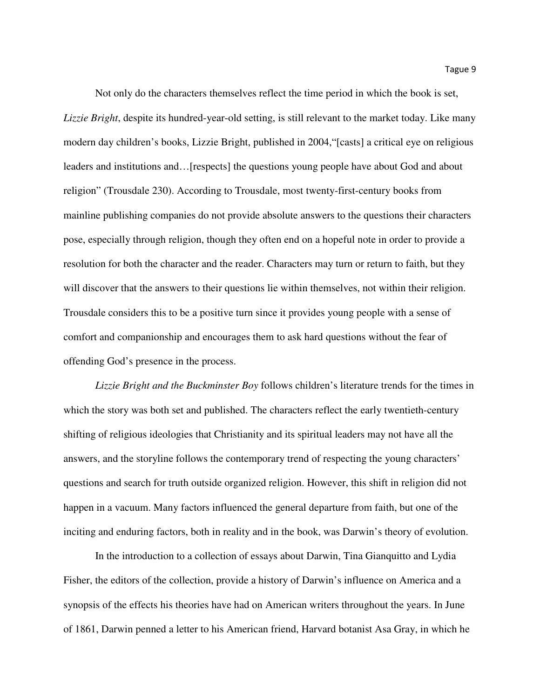Not only do the characters themselves reflect the time period in which the book is set, *Lizzie Bright*, despite its hundred-year-old setting, is still relevant to the market today. Like many modern day children's books, Lizzie Bright, published in 2004,"[casts] a critical eye on religious leaders and institutions and…[respects] the questions young people have about God and about religion" (Trousdale 230). According to Trousdale, most twenty-first-century books from mainline publishing companies do not provide absolute answers to the questions their characters pose, especially through religion, though they often end on a hopeful note in order to provide a resolution for both the character and the reader. Characters may turn or return to faith, but they will discover that the answers to their questions lie within themselves, not within their religion. Trousdale considers this to be a positive turn since it provides young people with a sense of comfort and companionship and encourages them to ask hard questions without the fear of offending God's presence in the process.

*Lizzie Bright and the Buckminster Boy* follows children's literature trends for the times in which the story was both set and published. The characters reflect the early twentieth-century shifting of religious ideologies that Christianity and its spiritual leaders may not have all the answers, and the storyline follows the contemporary trend of respecting the young characters' questions and search for truth outside organized religion. However, this shift in religion did not happen in a vacuum. Many factors influenced the general departure from faith, but one of the inciting and enduring factors, both in reality and in the book, was Darwin's theory of evolution.

 In the introduction to a collection of essays about Darwin, Tina Gianquitto and Lydia Fisher, the editors of the collection, provide a history of Darwin's influence on America and a synopsis of the effects his theories have had on American writers throughout the years. In June of 1861, Darwin penned a letter to his American friend, Harvard botanist Asa Gray, in which he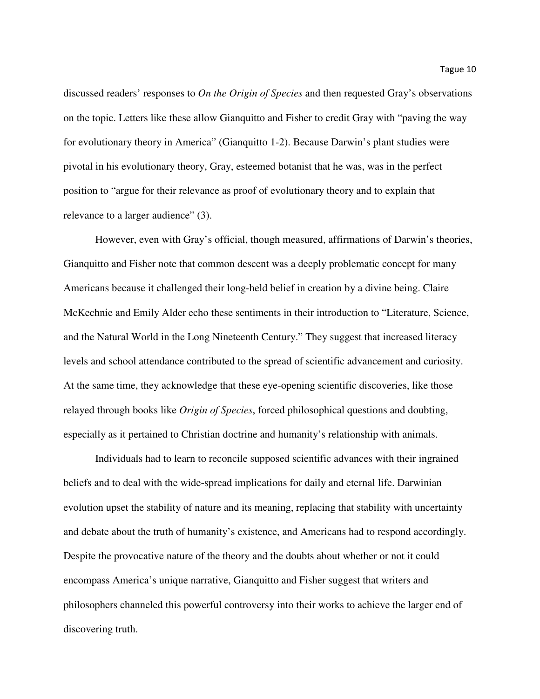discussed readers' responses to *On the Origin of Species* and then requested Gray's observations on the topic. Letters like these allow Gianquitto and Fisher to credit Gray with "paving the way for evolutionary theory in America" (Gianquitto 1-2). Because Darwin's plant studies were pivotal in his evolutionary theory, Gray, esteemed botanist that he was, was in the perfect position to "argue for their relevance as proof of evolutionary theory and to explain that relevance to a larger audience" (3).

However, even with Gray's official, though measured, affirmations of Darwin's theories, Gianquitto and Fisher note that common descent was a deeply problematic concept for many Americans because it challenged their long-held belief in creation by a divine being. Claire McKechnie and Emily Alder echo these sentiments in their introduction to "Literature, Science, and the Natural World in the Long Nineteenth Century." They suggest that increased literacy levels and school attendance contributed to the spread of scientific advancement and curiosity. At the same time, they acknowledge that these eye-opening scientific discoveries, like those relayed through books like *Origin of Species*, forced philosophical questions and doubting, especially as it pertained to Christian doctrine and humanity's relationship with animals.

Individuals had to learn to reconcile supposed scientific advances with their ingrained beliefs and to deal with the wide-spread implications for daily and eternal life. Darwinian evolution upset the stability of nature and its meaning, replacing that stability with uncertainty and debate about the truth of humanity's existence, and Americans had to respond accordingly. Despite the provocative nature of the theory and the doubts about whether or not it could encompass America's unique narrative, Gianquitto and Fisher suggest that writers and philosophers channeled this powerful controversy into their works to achieve the larger end of discovering truth.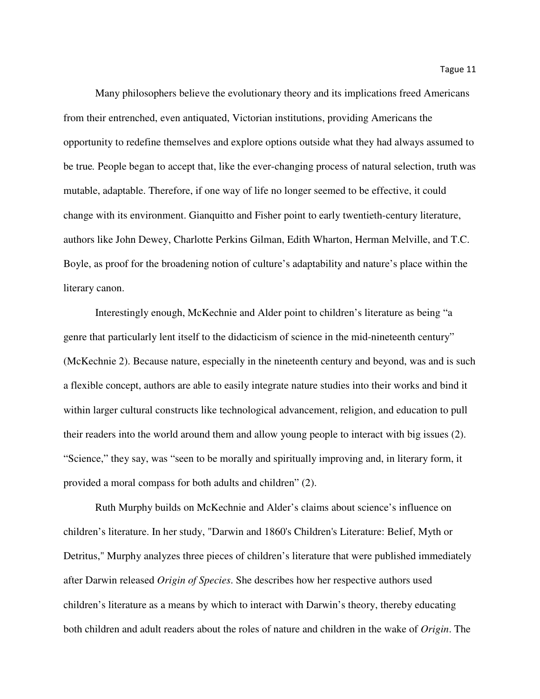Many philosophers believe the evolutionary theory and its implications freed Americans from their entrenched, even antiquated, Victorian institutions, providing Americans the opportunity to redefine themselves and explore options outside what they had always assumed to be true*.* People began to accept that, like the ever-changing process of natural selection, truth was mutable, adaptable. Therefore, if one way of life no longer seemed to be effective, it could change with its environment. Gianquitto and Fisher point to early twentieth-century literature, authors like John Dewey, Charlotte Perkins Gilman, Edith Wharton, Herman Melville, and T.C. Boyle, as proof for the broadening notion of culture's adaptability and nature's place within the literary canon.

 Interestingly enough, McKechnie and Alder point to children's literature as being "a genre that particularly lent itself to the didacticism of science in the mid-nineteenth century" (McKechnie 2). Because nature, especially in the nineteenth century and beyond, was and is such a flexible concept, authors are able to easily integrate nature studies into their works and bind it within larger cultural constructs like technological advancement, religion, and education to pull their readers into the world around them and allow young people to interact with big issues (2). "Science," they say, was "seen to be morally and spiritually improving and, in literary form, it provided a moral compass for both adults and children" (2).

Ruth Murphy builds on McKechnie and Alder's claims about science's influence on children's literature. In her study, "Darwin and 1860's Children's Literature: Belief, Myth or Detritus," Murphy analyzes three pieces of children's literature that were published immediately after Darwin released *Origin of Species*. She describes how her respective authors used children's literature as a means by which to interact with Darwin's theory, thereby educating both children and adult readers about the roles of nature and children in the wake of *Origin*. The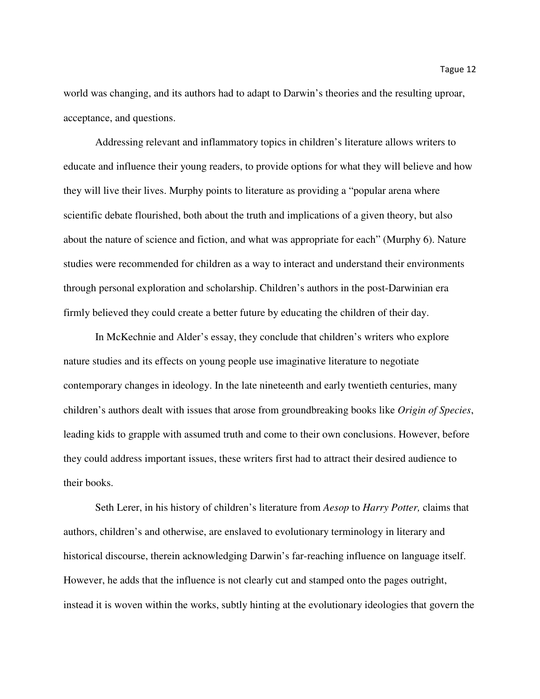world was changing, and its authors had to adapt to Darwin's theories and the resulting uproar, acceptance, and questions.

 Addressing relevant and inflammatory topics in children's literature allows writers to educate and influence their young readers, to provide options for what they will believe and how they will live their lives. Murphy points to literature as providing a "popular arena where scientific debate flourished, both about the truth and implications of a given theory, but also about the nature of science and fiction, and what was appropriate for each" (Murphy 6). Nature studies were recommended for children as a way to interact and understand their environments through personal exploration and scholarship. Children's authors in the post-Darwinian era firmly believed they could create a better future by educating the children of their day.

In McKechnie and Alder's essay, they conclude that children's writers who explore nature studies and its effects on young people use imaginative literature to negotiate contemporary changes in ideology. In the late nineteenth and early twentieth centuries, many children's authors dealt with issues that arose from groundbreaking books like *Origin of Species*, leading kids to grapple with assumed truth and come to their own conclusions. However, before they could address important issues, these writers first had to attract their desired audience to their books.

Seth Lerer, in his history of children's literature from *Aesop* to *Harry Potter,* claims that authors, children's and otherwise, are enslaved to evolutionary terminology in literary and historical discourse, therein acknowledging Darwin's far-reaching influence on language itself. However, he adds that the influence is not clearly cut and stamped onto the pages outright, instead it is woven within the works, subtly hinting at the evolutionary ideologies that govern the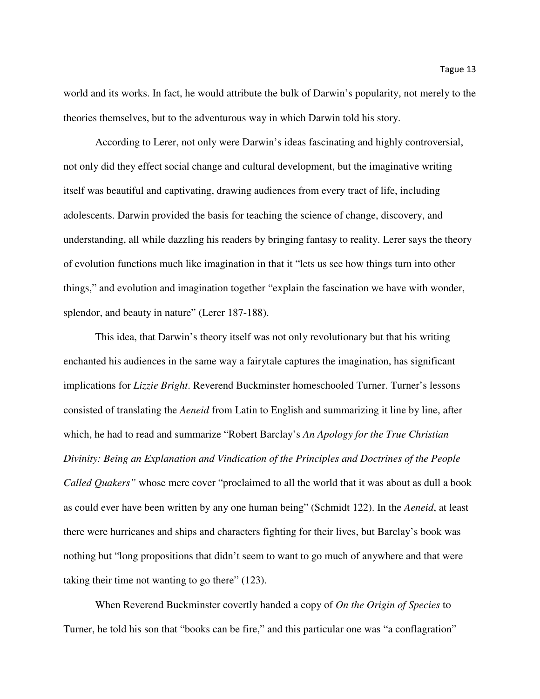world and its works. In fact, he would attribute the bulk of Darwin's popularity, not merely to the theories themselves, but to the adventurous way in which Darwin told his story.

According to Lerer, not only were Darwin's ideas fascinating and highly controversial, not only did they effect social change and cultural development, but the imaginative writing itself was beautiful and captivating, drawing audiences from every tract of life, including adolescents. Darwin provided the basis for teaching the science of change, discovery, and understanding, all while dazzling his readers by bringing fantasy to reality. Lerer says the theory of evolution functions much like imagination in that it "lets us see how things turn into other things," and evolution and imagination together "explain the fascination we have with wonder, splendor, and beauty in nature" (Lerer 187-188).

 This idea, that Darwin's theory itself was not only revolutionary but that his writing enchanted his audiences in the same way a fairytale captures the imagination, has significant implications for *Lizzie Bright*. Reverend Buckminster homeschooled Turner. Turner's lessons consisted of translating the *Aeneid* from Latin to English and summarizing it line by line, after which, he had to read and summarize "Robert Barclay's *An Apology for the True Christian Divinity: Being an Explanation and Vindication of the Principles and Doctrines of the People Called Quakers"* whose mere cover "proclaimed to all the world that it was about as dull a book as could ever have been written by any one human being" (Schmidt 122). In the *Aeneid*, at least there were hurricanes and ships and characters fighting for their lives, but Barclay's book was nothing but "long propositions that didn't seem to want to go much of anywhere and that were taking their time not wanting to go there" (123).

 When Reverend Buckminster covertly handed a copy of *On the Origin of Species* to Turner, he told his son that "books can be fire," and this particular one was "a conflagration"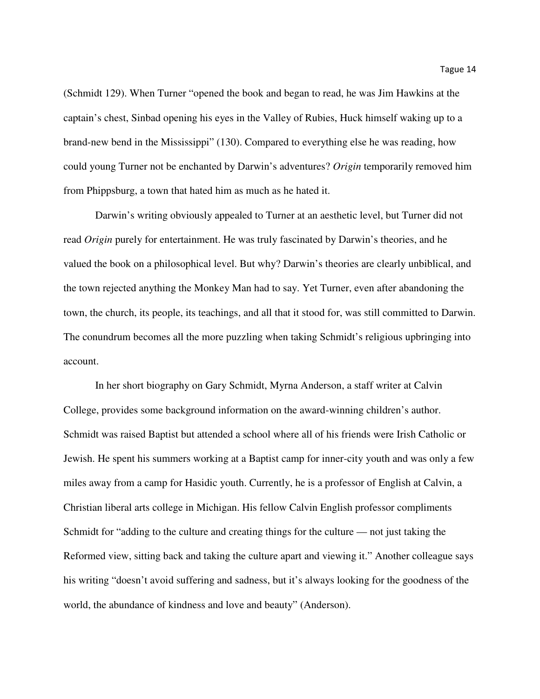(Schmidt 129). When Turner "opened the book and began to read, he was Jim Hawkins at the captain's chest, Sinbad opening his eyes in the Valley of Rubies, Huck himself waking up to a brand-new bend in the Mississippi" (130). Compared to everything else he was reading, how could young Turner not be enchanted by Darwin's adventures? *Origin* temporarily removed him from Phippsburg, a town that hated him as much as he hated it.

Darwin's writing obviously appealed to Turner at an aesthetic level, but Turner did not read *Origin* purely for entertainment. He was truly fascinated by Darwin's theories, and he valued the book on a philosophical level. But why? Darwin's theories are clearly unbiblical, and the town rejected anything the Monkey Man had to say. Yet Turner, even after abandoning the town, the church, its people, its teachings, and all that it stood for, was still committed to Darwin. The conundrum becomes all the more puzzling when taking Schmidt's religious upbringing into account.

 In her short biography on Gary Schmidt, Myrna Anderson, a staff writer at Calvin College, provides some background information on the award-winning children's author. Schmidt was raised Baptist but attended a school where all of his friends were Irish Catholic or Jewish. He spent his summers working at a Baptist camp for inner-city youth and was only a few miles away from a camp for Hasidic youth. Currently, he is a professor of English at Calvin, a Christian liberal arts college in Michigan. His fellow Calvin English professor compliments Schmidt for "adding to the culture and creating things for the culture — not just taking the Reformed view, sitting back and taking the culture apart and viewing it." Another colleague says his writing "doesn't avoid suffering and sadness, but it's always looking for the goodness of the world, the abundance of kindness and love and beauty" (Anderson).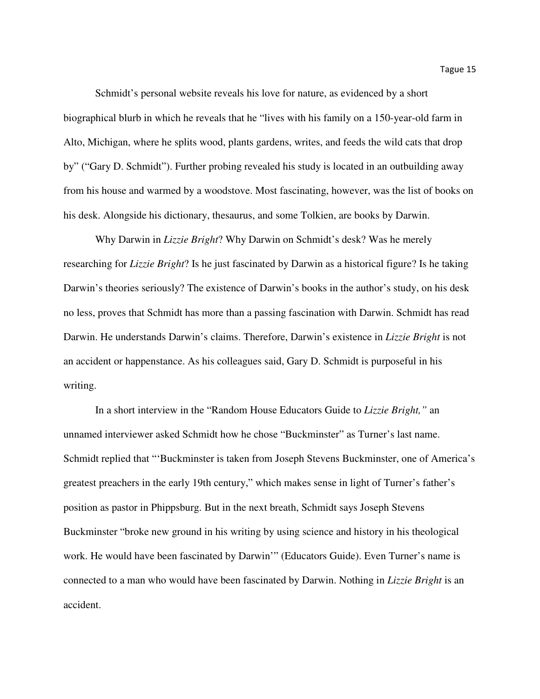Schmidt's personal website reveals his love for nature, as evidenced by a short biographical blurb in which he reveals that he "lives with his family on a 150-year-old farm in Alto, Michigan, where he splits wood, plants gardens, writes, and feeds the wild cats that drop by" ("Gary D. Schmidt"). Further probing revealed his study is located in an outbuilding away from his house and warmed by a woodstove. Most fascinating, however, was the list of books on his desk. Alongside his dictionary, thesaurus, and some Tolkien, are books by Darwin.

 Why Darwin in *Lizzie Bright*? Why Darwin on Schmidt's desk? Was he merely researching for *Lizzie Bright*? Is he just fascinated by Darwin as a historical figure? Is he taking Darwin's theories seriously? The existence of Darwin's books in the author's study, on his desk no less, proves that Schmidt has more than a passing fascination with Darwin. Schmidt has read Darwin. He understands Darwin's claims. Therefore, Darwin's existence in *Lizzie Bright* is not an accident or happenstance. As his colleagues said, Gary D. Schmidt is purposeful in his writing.

In a short interview in the "Random House Educators Guide to *Lizzie Bright,"* an unnamed interviewer asked Schmidt how he chose "Buckminster" as Turner's last name. Schmidt replied that "'Buckminster is taken from Joseph Stevens Buckminster, one of America's greatest preachers in the early 19th century," which makes sense in light of Turner's father's position as pastor in Phippsburg. But in the next breath, Schmidt says Joseph Stevens Buckminster "broke new ground in his writing by using science and history in his theological work. He would have been fascinated by Darwin'" (Educators Guide). Even Turner's name is connected to a man who would have been fascinated by Darwin. Nothing in *Lizzie Bright* is an accident.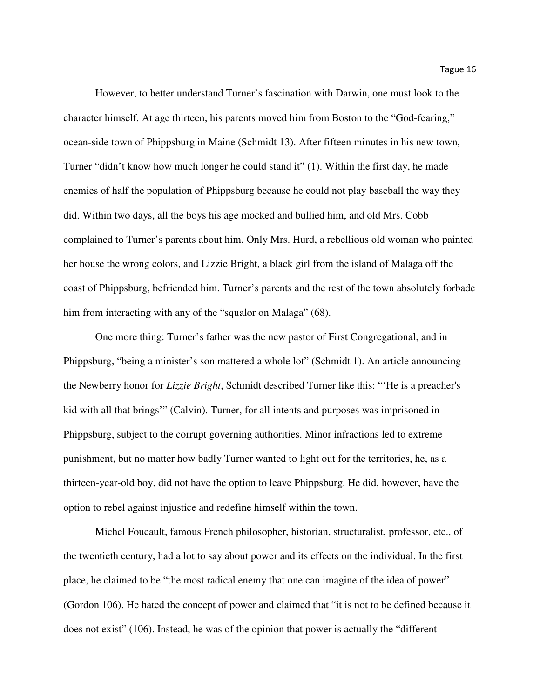However, to better understand Turner's fascination with Darwin, one must look to the character himself. At age thirteen, his parents moved him from Boston to the "God-fearing," ocean-side town of Phippsburg in Maine (Schmidt 13). After fifteen minutes in his new town, Turner "didn't know how much longer he could stand it" (1). Within the first day, he made enemies of half the population of Phippsburg because he could not play baseball the way they did. Within two days, all the boys his age mocked and bullied him, and old Mrs. Cobb complained to Turner's parents about him. Only Mrs. Hurd, a rebellious old woman who painted her house the wrong colors, and Lizzie Bright, a black girl from the island of Malaga off the coast of Phippsburg, befriended him. Turner's parents and the rest of the town absolutely forbade him from interacting with any of the "squalor on Malaga" (68).

One more thing: Turner's father was the new pastor of First Congregational, and in Phippsburg, "being a minister's son mattered a whole lot" (Schmidt 1). An article announcing the Newberry honor for *Lizzie Bright*, Schmidt described Turner like this: "'He is a preacher's kid with all that brings'" (Calvin). Turner, for all intents and purposes was imprisoned in Phippsburg, subject to the corrupt governing authorities. Minor infractions led to extreme punishment, but no matter how badly Turner wanted to light out for the territories, he, as a thirteen-year-old boy, did not have the option to leave Phippsburg. He did, however, have the option to rebel against injustice and redefine himself within the town.

Michel Foucault, famous French philosopher, historian, structuralist, professor, etc., of the twentieth century, had a lot to say about power and its effects on the individual. In the first place, he claimed to be "the most radical enemy that one can imagine of the idea of power" (Gordon 106). He hated the concept of power and claimed that "it is not to be defined because it does not exist" (106). Instead, he was of the opinion that power is actually the "different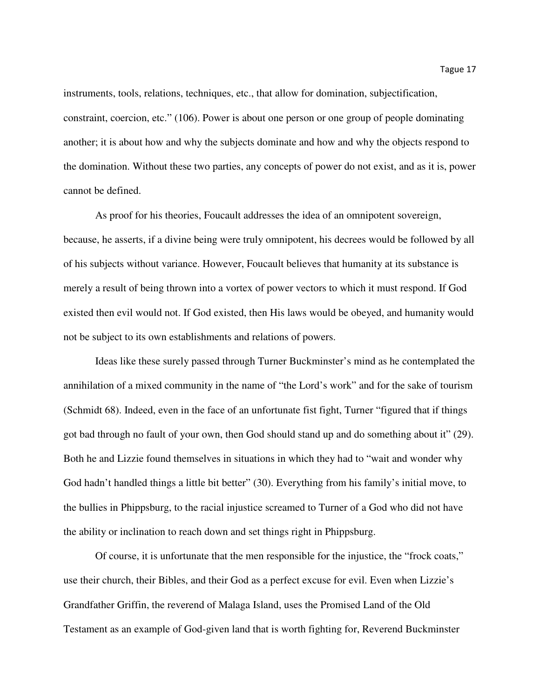instruments, tools, relations, techniques, etc., that allow for domination, subjectification, constraint, coercion, etc." (106). Power is about one person or one group of people dominating another; it is about how and why the subjects dominate and how and why the objects respond to the domination. Without these two parties, any concepts of power do not exist, and as it is, power cannot be defined.

As proof for his theories, Foucault addresses the idea of an omnipotent sovereign, because, he asserts, if a divine being were truly omnipotent, his decrees would be followed by all of his subjects without variance. However, Foucault believes that humanity at its substance is merely a result of being thrown into a vortex of power vectors to which it must respond. If God existed then evil would not. If God existed, then His laws would be obeyed, and humanity would not be subject to its own establishments and relations of powers.

Ideas like these surely passed through Turner Buckminster's mind as he contemplated the annihilation of a mixed community in the name of "the Lord's work" and for the sake of tourism (Schmidt 68). Indeed, even in the face of an unfortunate fist fight, Turner "figured that if things got bad through no fault of your own, then God should stand up and do something about it" (29). Both he and Lizzie found themselves in situations in which they had to "wait and wonder why God hadn't handled things a little bit better" (30). Everything from his family's initial move, to the bullies in Phippsburg, to the racial injustice screamed to Turner of a God who did not have the ability or inclination to reach down and set things right in Phippsburg.

Of course, it is unfortunate that the men responsible for the injustice, the "frock coats," use their church, their Bibles, and their God as a perfect excuse for evil. Even when Lizzie's Grandfather Griffin, the reverend of Malaga Island, uses the Promised Land of the Old Testament as an example of God-given land that is worth fighting for, Reverend Buckminster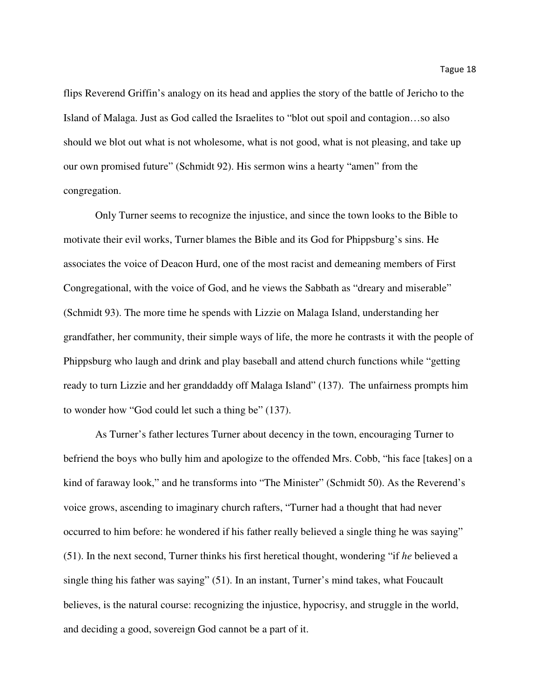flips Reverend Griffin's analogy on its head and applies the story of the battle of Jericho to the Island of Malaga. Just as God called the Israelites to "blot out spoil and contagion…so also should we blot out what is not wholesome, what is not good, what is not pleasing, and take up our own promised future" (Schmidt 92). His sermon wins a hearty "amen" from the congregation.

Only Turner seems to recognize the injustice, and since the town looks to the Bible to motivate their evil works, Turner blames the Bible and its God for Phippsburg's sins. He associates the voice of Deacon Hurd, one of the most racist and demeaning members of First Congregational, with the voice of God, and he views the Sabbath as "dreary and miserable" (Schmidt 93). The more time he spends with Lizzie on Malaga Island, understanding her grandfather, her community, their simple ways of life, the more he contrasts it with the people of Phippsburg who laugh and drink and play baseball and attend church functions while "getting ready to turn Lizzie and her granddaddy off Malaga Island" (137). The unfairness prompts him to wonder how "God could let such a thing be" (137).

As Turner's father lectures Turner about decency in the town, encouraging Turner to befriend the boys who bully him and apologize to the offended Mrs. Cobb, "his face [takes] on a kind of faraway look," and he transforms into "The Minister" (Schmidt 50). As the Reverend's voice grows, ascending to imaginary church rafters, "Turner had a thought that had never occurred to him before: he wondered if his father really believed a single thing he was saying" (51). In the next second, Turner thinks his first heretical thought, wondering "if *he* believed a single thing his father was saying" (51). In an instant, Turner's mind takes, what Foucault believes, is the natural course: recognizing the injustice, hypocrisy, and struggle in the world, and deciding a good, sovereign God cannot be a part of it.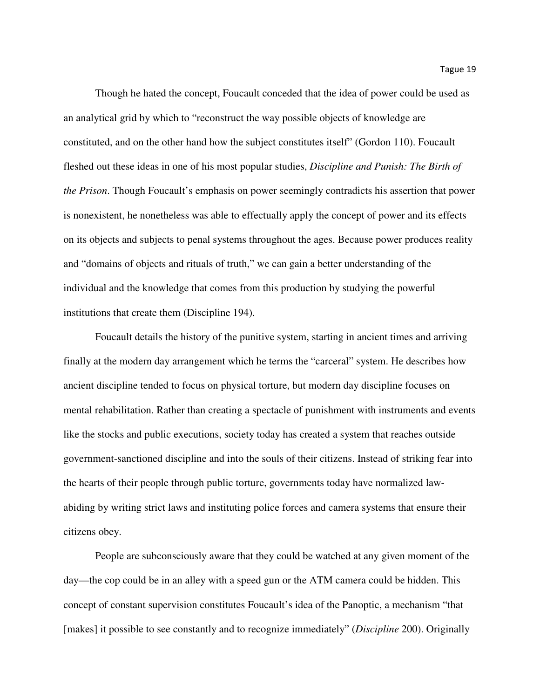Though he hated the concept, Foucault conceded that the idea of power could be used as an analytical grid by which to "reconstruct the way possible objects of knowledge are constituted, and on the other hand how the subject constitutes itself" (Gordon 110). Foucault fleshed out these ideas in one of his most popular studies, *Discipline and Punish: The Birth of the Prison*. Though Foucault's emphasis on power seemingly contradicts his assertion that power is nonexistent, he nonetheless was able to effectually apply the concept of power and its effects on its objects and subjects to penal systems throughout the ages. Because power produces reality and "domains of objects and rituals of truth," we can gain a better understanding of the individual and the knowledge that comes from this production by studying the powerful institutions that create them (Discipline 194).

Foucault details the history of the punitive system, starting in ancient times and arriving finally at the modern day arrangement which he terms the "carceral" system. He describes how ancient discipline tended to focus on physical torture, but modern day discipline focuses on mental rehabilitation. Rather than creating a spectacle of punishment with instruments and events like the stocks and public executions, society today has created a system that reaches outside government-sanctioned discipline and into the souls of their citizens. Instead of striking fear into the hearts of their people through public torture, governments today have normalized lawabiding by writing strict laws and instituting police forces and camera systems that ensure their citizens obey.

People are subconsciously aware that they could be watched at any given moment of the day—the cop could be in an alley with a speed gun or the ATM camera could be hidden. This concept of constant supervision constitutes Foucault's idea of the Panoptic, a mechanism "that [makes] it possible to see constantly and to recognize immediately" (*Discipline* 200). Originally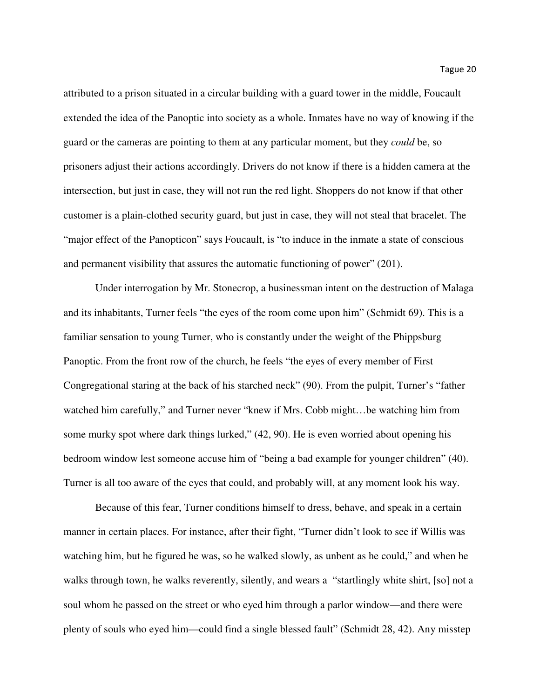attributed to a prison situated in a circular building with a guard tower in the middle, Foucault extended the idea of the Panoptic into society as a whole. Inmates have no way of knowing if the guard or the cameras are pointing to them at any particular moment, but they *could* be, so prisoners adjust their actions accordingly. Drivers do not know if there is a hidden camera at the intersection, but just in case, they will not run the red light. Shoppers do not know if that other customer is a plain-clothed security guard, but just in case, they will not steal that bracelet. The "major effect of the Panopticon" says Foucault, is "to induce in the inmate a state of conscious and permanent visibility that assures the automatic functioning of power" (201).

Under interrogation by Mr. Stonecrop, a businessman intent on the destruction of Malaga and its inhabitants, Turner feels "the eyes of the room come upon him" (Schmidt 69). This is a familiar sensation to young Turner, who is constantly under the weight of the Phippsburg Panoptic. From the front row of the church, he feels "the eyes of every member of First Congregational staring at the back of his starched neck" (90). From the pulpit, Turner's "father watched him carefully," and Turner never "knew if Mrs. Cobb might…be watching him from some murky spot where dark things lurked,"  $(42, 90)$ . He is even worried about opening his bedroom window lest someone accuse him of "being a bad example for younger children" (40). Turner is all too aware of the eyes that could, and probably will, at any moment look his way.

Because of this fear, Turner conditions himself to dress, behave, and speak in a certain manner in certain places. For instance, after their fight, "Turner didn't look to see if Willis was watching him, but he figured he was, so he walked slowly, as unbent as he could," and when he walks through town, he walks reverently, silently, and wears a "startlingly white shirt, [so] not a soul whom he passed on the street or who eyed him through a parlor window—and there were plenty of souls who eyed him—could find a single blessed fault" (Schmidt 28, 42). Any misstep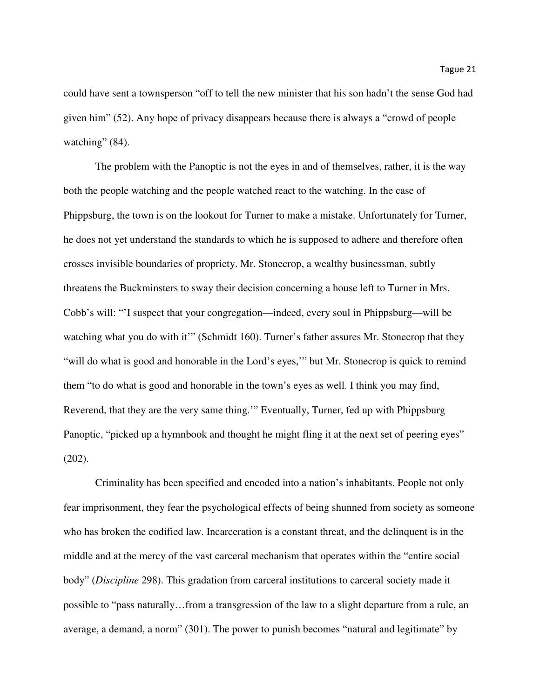could have sent a townsperson "off to tell the new minister that his son hadn't the sense God had given him" (52). Any hope of privacy disappears because there is always a "crowd of people watching" (84).

The problem with the Panoptic is not the eyes in and of themselves, rather, it is the way both the people watching and the people watched react to the watching. In the case of Phippsburg, the town is on the lookout for Turner to make a mistake. Unfortunately for Turner, he does not yet understand the standards to which he is supposed to adhere and therefore often crosses invisible boundaries of propriety. Mr. Stonecrop, a wealthy businessman, subtly threatens the Buckminsters to sway their decision concerning a house left to Turner in Mrs. Cobb's will: "'I suspect that your congregation—indeed, every soul in Phippsburg—will be watching what you do with it" (Schmidt 160). Turner's father assures Mr. Stonecrop that they "will do what is good and honorable in the Lord's eyes,'" but Mr. Stonecrop is quick to remind them "to do what is good and honorable in the town's eyes as well. I think you may find, Reverend, that they are the very same thing.'" Eventually, Turner, fed up with Phippsburg Panoptic, "picked up a hymnbook and thought he might fling it at the next set of peering eyes" (202).

Criminality has been specified and encoded into a nation's inhabitants. People not only fear imprisonment, they fear the psychological effects of being shunned from society as someone who has broken the codified law. Incarceration is a constant threat, and the delinquent is in the middle and at the mercy of the vast carceral mechanism that operates within the "entire social body" (*Discipline* 298). This gradation from carceral institutions to carceral society made it possible to "pass naturally…from a transgression of the law to a slight departure from a rule, an average, a demand, a norm" (301). The power to punish becomes "natural and legitimate" by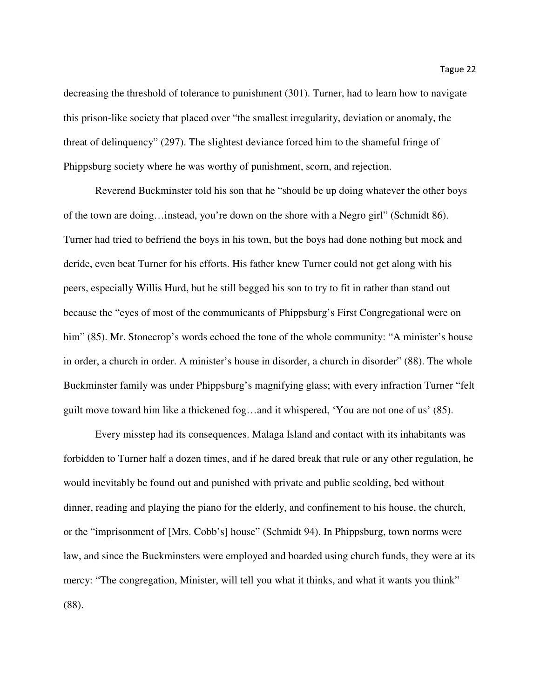decreasing the threshold of tolerance to punishment (301). Turner, had to learn how to navigate this prison-like society that placed over "the smallest irregularity, deviation or anomaly, the threat of delinquency" (297). The slightest deviance forced him to the shameful fringe of Phippsburg society where he was worthy of punishment, scorn, and rejection.

Reverend Buckminster told his son that he "should be up doing whatever the other boys of the town are doing…instead, you're down on the shore with a Negro girl" (Schmidt 86). Turner had tried to befriend the boys in his town, but the boys had done nothing but mock and deride, even beat Turner for his efforts. His father knew Turner could not get along with his peers, especially Willis Hurd, but he still begged his son to try to fit in rather than stand out because the "eyes of most of the communicants of Phippsburg's First Congregational were on him" (85). Mr. Stonecrop's words echoed the tone of the whole community: "A minister's house in order, a church in order. A minister's house in disorder, a church in disorder" (88). The whole Buckminster family was under Phippsburg's magnifying glass; with every infraction Turner "felt guilt move toward him like a thickened fog…and it whispered, 'You are not one of us' (85).

Every misstep had its consequences. Malaga Island and contact with its inhabitants was forbidden to Turner half a dozen times, and if he dared break that rule or any other regulation, he would inevitably be found out and punished with private and public scolding, bed without dinner, reading and playing the piano for the elderly, and confinement to his house, the church, or the "imprisonment of [Mrs. Cobb's] house" (Schmidt 94). In Phippsburg, town norms were law, and since the Buckminsters were employed and boarded using church funds, they were at its mercy: "The congregation, Minister, will tell you what it thinks, and what it wants you think" (88).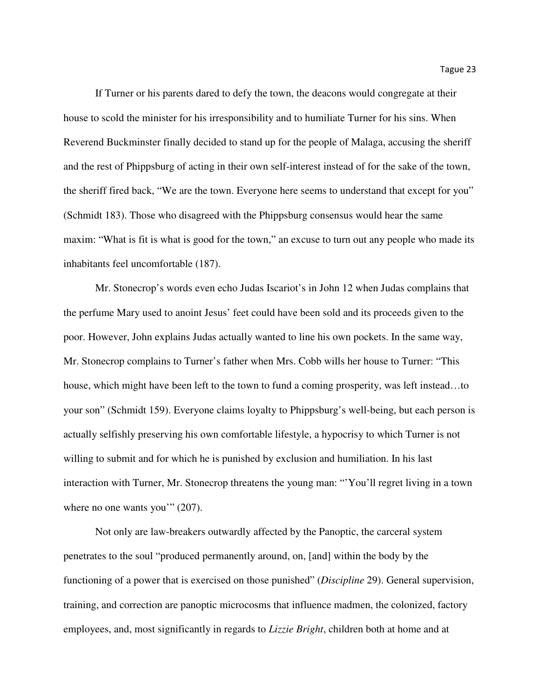If Turner or his parents dared to defy the town, the deacons would congregate at their house to scold the minister for his irresponsibility and to humiliate Turner for his sins. When Reverend Buckminster finally decided to stand up for the people of Malaga, accusing the sheriff and the rest of Phippsburg of acting in their own self-interest instead of for the sake of the town, the sheriff fired back, "We are the town. Everyone here seems to understand that except for you" (Schmidt 183). Those who disagreed with the Phippsburg consensus would hear the same maxim: "What is fit is what is good for the town," an excuse to turn out any people who made its inhabitants feel uncomfortable (187).

Mr. Stonecrop's words even echo Judas Iscariot's in John 12 when Judas complains that the perfume Mary used to anoint Jesus' feet could have been sold and its proceeds given to the poor. However, John explains Judas actually wanted to line his own pockets. In the same way, Mr. Stonecrop complains to Turner's father when Mrs. Cobb wills her house to Turner: "This house, which might have been left to the town to fund a coming prosperity, was left instead...to your son" (Schmidt 159). Everyone claims loyalty to Phippsburg's well-being, but each person is actually selfishly preserving his own comfortable lifestyle, a hypocrisy to which Turner is not willing to submit and for which he is punished by exclusion and humiliation. In his last interaction with Turner, Mr. Stonecrop threatens the young man: "'You'll regret living in a town where no one wants you'" (207).

Not only are law-breakers outwardly affected by the Panoptic, the carceral system penetrates to the soul "produced permanently around, on, [and] within the body by the functioning of a power that is exercised on those punished" (*Discipline* 29). General supervision, training, and correction are panoptic microcosms that influence madmen, the colonized, factory employees, and, most significantly in regards to *Lizzie Bright*, children both at home and at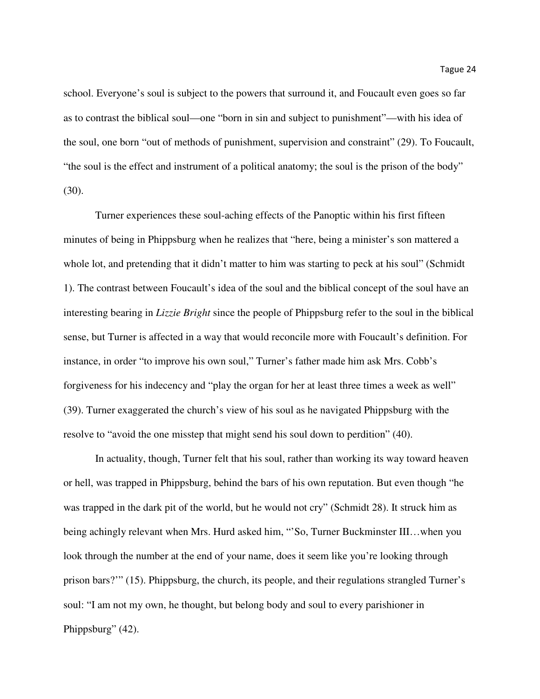school. Everyone's soul is subject to the powers that surround it, and Foucault even goes so far as to contrast the biblical soul—one "born in sin and subject to punishment"—with his idea of the soul, one born "out of methods of punishment, supervision and constraint" (29). To Foucault, "the soul is the effect and instrument of a political anatomy; the soul is the prison of the body" (30).

Turner experiences these soul-aching effects of the Panoptic within his first fifteen minutes of being in Phippsburg when he realizes that "here, being a minister's son mattered a whole lot, and pretending that it didn't matter to him was starting to peck at his soul" (Schmidt 1). The contrast between Foucault's idea of the soul and the biblical concept of the soul have an interesting bearing in *Lizzie Bright* since the people of Phippsburg refer to the soul in the biblical sense, but Turner is affected in a way that would reconcile more with Foucault's definition. For instance, in order "to improve his own soul," Turner's father made him ask Mrs. Cobb's forgiveness for his indecency and "play the organ for her at least three times a week as well" (39). Turner exaggerated the church's view of his soul as he navigated Phippsburg with the resolve to "avoid the one misstep that might send his soul down to perdition" (40).

In actuality, though, Turner felt that his soul, rather than working its way toward heaven or hell, was trapped in Phippsburg, behind the bars of his own reputation. But even though "he was trapped in the dark pit of the world, but he would not cry" (Schmidt 28). It struck him as being achingly relevant when Mrs. Hurd asked him, "'So, Turner Buckminster III...when you look through the number at the end of your name, does it seem like you're looking through prison bars?'" (15). Phippsburg, the church, its people, and their regulations strangled Turner's soul: "I am not my own, he thought, but belong body and soul to every parishioner in Phippsburg" (42).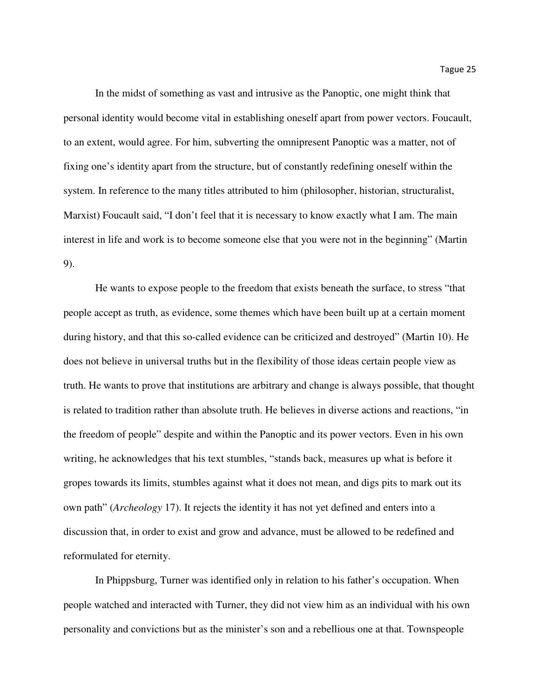In the midst of something as vast and intrusive as the Panoptic, one might think that personal identity would become vital in establishing oneself apart from power vectors. Foucault, to an extent, would agree. For him, subverting the omnipresent Panoptic was a matter, not of fixing one's identity apart from the structure, but of constantly redefining oneself within the system. In reference to the many titles attributed to him (philosopher, historian, structuralist, Marxist) Foucault said, "I don't feel that it is necessary to know exactly what I am. The main interest in life and work is to become someone else that you were not in the beginning" (Martin 9).

He wants to expose people to the freedom that exists beneath the surface, to stress "that people accept as truth, as evidence, some themes which have been built up at a certain moment during history, and that this so-called evidence can be criticized and destroyed" (Martin 10). He does not believe in universal truths but in the flexibility of those ideas certain people view as truth. He wants to prove that institutions are arbitrary and change is always possible, that thought is related to tradition rather than absolute truth. He believes in diverse actions and reactions, "in the freedom of people" despite and within the Panoptic and its power vectors. Even in his own writing, he acknowledges that his text stumbles, "stands back, measures up what is before it gropes towards its limits, stumbles against what it does not mean, and digs pits to mark out its own path" (*Archeology* 17). It rejects the identity it has not yet defined and enters into a discussion that, in order to exist and grow and advance, must be allowed to be redefined and reformulated for eternity.

In Phippsburg, Turner was identified only in relation to his father's occupation. When people watched and interacted with Turner, they did not view him as an individual with his own personality and convictions but as the minister's son and a rebellious one at that. Townspeople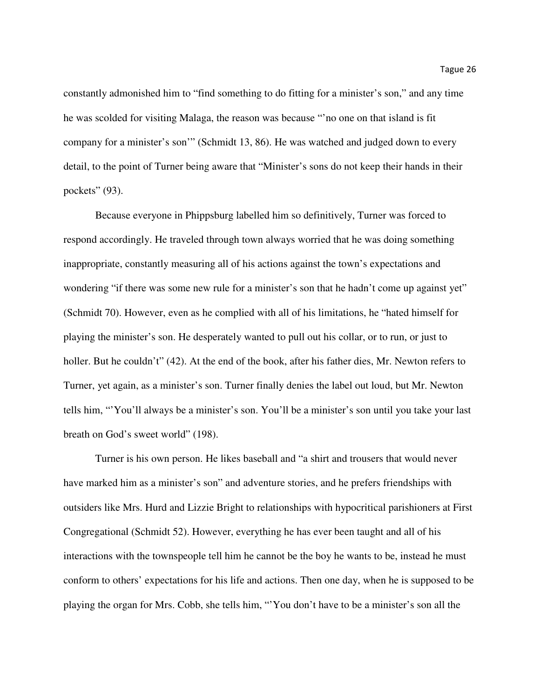constantly admonished him to "find something to do fitting for a minister's son," and any time he was scolded for visiting Malaga, the reason was because "'no one on that island is fit company for a minister's son'" (Schmidt 13, 86). He was watched and judged down to every detail, to the point of Turner being aware that "Minister's sons do not keep their hands in their pockets" (93).

Because everyone in Phippsburg labelled him so definitively, Turner was forced to respond accordingly. He traveled through town always worried that he was doing something inappropriate, constantly measuring all of his actions against the town's expectations and wondering "if there was some new rule for a minister's son that he hadn't come up against yet" (Schmidt 70). However, even as he complied with all of his limitations, he "hated himself for playing the minister's son. He desperately wanted to pull out his collar, or to run, or just to holler. But he couldn't" (42). At the end of the book, after his father dies, Mr. Newton refers to Turner, yet again, as a minister's son. Turner finally denies the label out loud, but Mr. Newton tells him, "'You'll always be a minister's son. You'll be a minister's son until you take your last breath on God's sweet world" (198).

Turner is his own person. He likes baseball and "a shirt and trousers that would never have marked him as a minister's son" and adventure stories, and he prefers friendships with outsiders like Mrs. Hurd and Lizzie Bright to relationships with hypocritical parishioners at First Congregational (Schmidt 52). However, everything he has ever been taught and all of his interactions with the townspeople tell him he cannot be the boy he wants to be, instead he must conform to others' expectations for his life and actions. Then one day, when he is supposed to be playing the organ for Mrs. Cobb, she tells him, "'You don't have to be a minister's son all the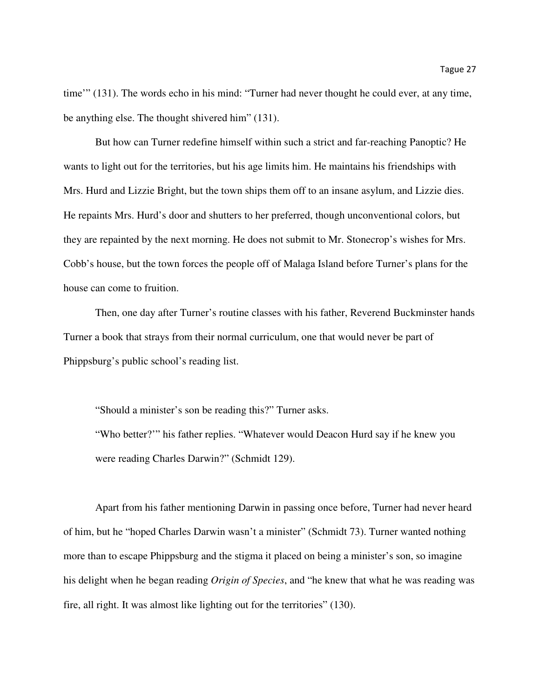time'" (131). The words echo in his mind: "Turner had never thought he could ever, at any time, be anything else. The thought shivered him" (131).

But how can Turner redefine himself within such a strict and far-reaching Panoptic? He wants to light out for the territories, but his age limits him. He maintains his friendships with Mrs. Hurd and Lizzie Bright, but the town ships them off to an insane asylum, and Lizzie dies. He repaints Mrs. Hurd's door and shutters to her preferred, though unconventional colors, but they are repainted by the next morning. He does not submit to Mr. Stonecrop's wishes for Mrs. Cobb's house, but the town forces the people off of Malaga Island before Turner's plans for the house can come to fruition.

Then, one day after Turner's routine classes with his father, Reverend Buckminster hands Turner a book that strays from their normal curriculum, one that would never be part of Phippsburg's public school's reading list.

"Should a minister's son be reading this?" Turner asks.

"Who better?'" his father replies. "Whatever would Deacon Hurd say if he knew you were reading Charles Darwin?" (Schmidt 129).

Apart from his father mentioning Darwin in passing once before, Turner had never heard of him, but he "hoped Charles Darwin wasn't a minister" (Schmidt 73). Turner wanted nothing more than to escape Phippsburg and the stigma it placed on being a minister's son, so imagine his delight when he began reading *Origin of Species*, and "he knew that what he was reading was fire, all right. It was almost like lighting out for the territories" (130).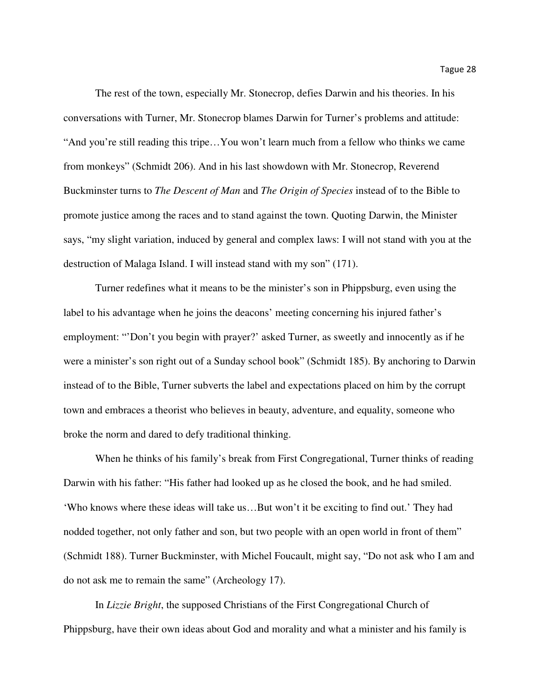The rest of the town, especially Mr. Stonecrop, defies Darwin and his theories. In his conversations with Turner, Mr. Stonecrop blames Darwin for Turner's problems and attitude: "And you're still reading this tripe…You won't learn much from a fellow who thinks we came from monkeys" (Schmidt 206). And in his last showdown with Mr. Stonecrop, Reverend Buckminster turns to *The Descent of Man* and *The Origin of Species* instead of to the Bible to promote justice among the races and to stand against the town. Quoting Darwin, the Minister says, "my slight variation, induced by general and complex laws: I will not stand with you at the destruction of Malaga Island. I will instead stand with my son" (171).

Turner redefines what it means to be the minister's son in Phippsburg, even using the label to his advantage when he joins the deacons' meeting concerning his injured father's employment: "'Don't you begin with prayer?' asked Turner, as sweetly and innocently as if he were a minister's son right out of a Sunday school book" (Schmidt 185). By anchoring to Darwin instead of to the Bible, Turner subverts the label and expectations placed on him by the corrupt town and embraces a theorist who believes in beauty, adventure, and equality, someone who broke the norm and dared to defy traditional thinking.

When he thinks of his family's break from First Congregational, Turner thinks of reading Darwin with his father: "His father had looked up as he closed the book, and he had smiled. 'Who knows where these ideas will take us…But won't it be exciting to find out.' They had nodded together, not only father and son, but two people with an open world in front of them" (Schmidt 188). Turner Buckminster, with Michel Foucault, might say, "Do not ask who I am and do not ask me to remain the same" (Archeology 17).

 In *Lizzie Bright*, the supposed Christians of the First Congregational Church of Phippsburg, have their own ideas about God and morality and what a minister and his family is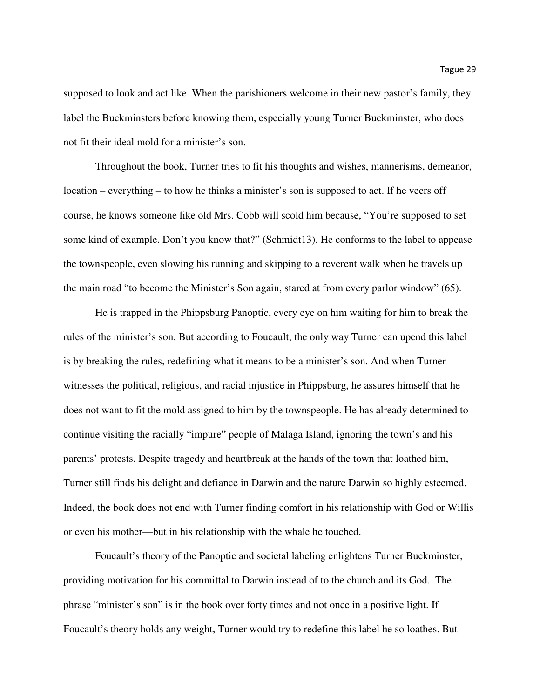supposed to look and act like. When the parishioners welcome in their new pastor's family, they label the Buckminsters before knowing them, especially young Turner Buckminster, who does not fit their ideal mold for a minister's son.

Throughout the book, Turner tries to fit his thoughts and wishes, mannerisms, demeanor, location – everything – to how he thinks a minister's son is supposed to act. If he veers off course, he knows someone like old Mrs. Cobb will scold him because, "You're supposed to set some kind of example. Don't you know that?" (Schmidt13). He conforms to the label to appease the townspeople, even slowing his running and skipping to a reverent walk when he travels up the main road "to become the Minister's Son again, stared at from every parlor window" (65).

 He is trapped in the Phippsburg Panoptic, every eye on him waiting for him to break the rules of the minister's son. But according to Foucault, the only way Turner can upend this label is by breaking the rules, redefining what it means to be a minister's son. And when Turner witnesses the political, religious, and racial injustice in Phippsburg, he assures himself that he does not want to fit the mold assigned to him by the townspeople. He has already determined to continue visiting the racially "impure" people of Malaga Island, ignoring the town's and his parents' protests. Despite tragedy and heartbreak at the hands of the town that loathed him, Turner still finds his delight and defiance in Darwin and the nature Darwin so highly esteemed. Indeed, the book does not end with Turner finding comfort in his relationship with God or Willis or even his mother—but in his relationship with the whale he touched.

Foucault's theory of the Panoptic and societal labeling enlightens Turner Buckminster, providing motivation for his committal to Darwin instead of to the church and its God. The phrase "minister's son" is in the book over forty times and not once in a positive light. If Foucault's theory holds any weight, Turner would try to redefine this label he so loathes. But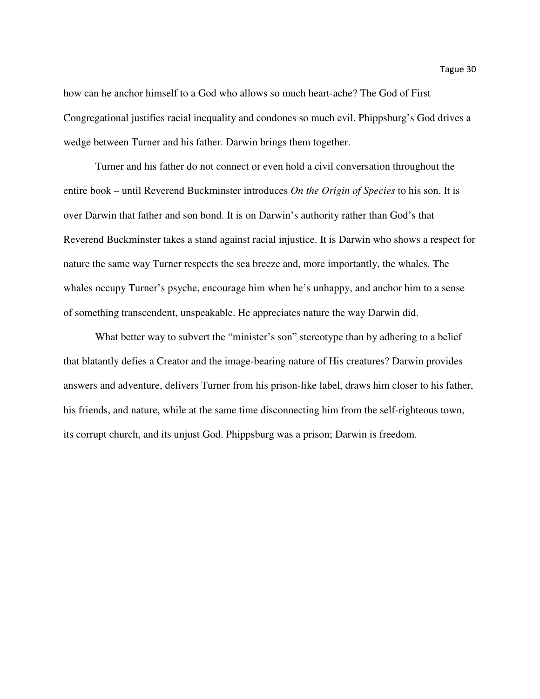how can he anchor himself to a God who allows so much heart-ache? The God of First Congregational justifies racial inequality and condones so much evil. Phippsburg's God drives a wedge between Turner and his father. Darwin brings them together.

Turner and his father do not connect or even hold a civil conversation throughout the entire book – until Reverend Buckminster introduces *On the Origin of Species* to his son. It is over Darwin that father and son bond. It is on Darwin's authority rather than God's that Reverend Buckminster takes a stand against racial injustice. It is Darwin who shows a respect for nature the same way Turner respects the sea breeze and, more importantly, the whales. The whales occupy Turner's psyche, encourage him when he's unhappy, and anchor him to a sense of something transcendent, unspeakable. He appreciates nature the way Darwin did.

What better way to subvert the "minister's son" stereotype than by adhering to a belief that blatantly defies a Creator and the image-bearing nature of His creatures? Darwin provides answers and adventure, delivers Turner from his prison-like label, draws him closer to his father, his friends, and nature, while at the same time disconnecting him from the self-righteous town, its corrupt church, and its unjust God. Phippsburg was a prison; Darwin is freedom.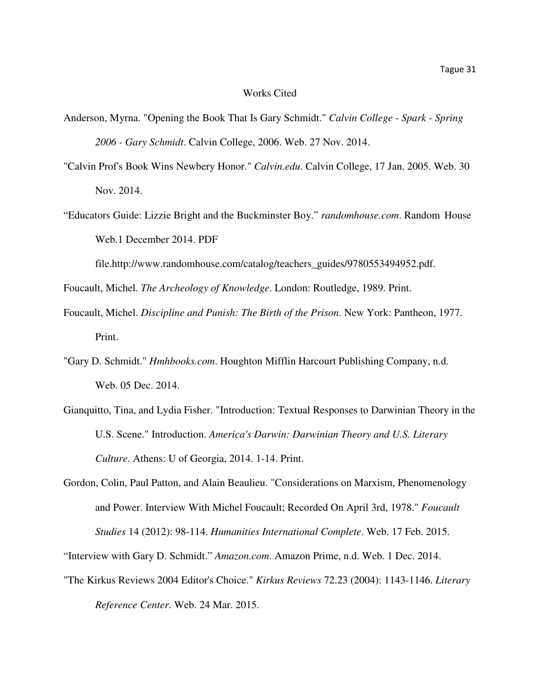#### Works Cited

- Anderson, Myrna. "Opening the Book That Is Gary Schmidt." *Calvin College Spark Spring 2006 - Gary Schmidt*. Calvin College, 2006. Web. 27 Nov. 2014.
- "Calvin Prof's Book Wins Newbery Honor." *Calvin.edu*. Calvin College, 17 Jan. 2005. Web. 30 Nov. 2014.
- "Educators Guide: Lizzie Bright and the Buckminster Boy." *randomhouse.com*. Random House Web.1 December 2014. PDF

file.http://www.randomhouse.com/catalog/teachers\_guides/9780553494952.pdf.

Foucault, Michel. *The Archeology of Knowledge*. London: Routledge, 1989. Print.

- Foucault, Michel. *Discipline and Punish: The Birth of the Prison*. New York: Pantheon, 1977. Print.
- "Gary D. Schmidt." *Hmhbooks.com*. Houghton Mifflin Harcourt Publishing Company, n.d. Web. 05 Dec. 2014.
- Gianquitto, Tina, and Lydia Fisher. "Introduction: Textual Responses to Darwinian Theory in the U.S. Scene." Introduction. *America's Darwin: Darwinian Theory and U.S. Literary Culture*. Athens: U of Georgia, 2014. 1-14. Print.
- Gordon, Colin, Paul Patton, and Alain Beaulieu. "Considerations on Marxism, Phenomenology and Power. Interview With Michel Foucault; Recorded On April 3rd, 1978." *Foucault Studies* 14 (2012): 98-114. *Humanities International Complete*. Web. 17 Feb. 2015.

"The Kirkus Reviews 2004 Editor's Choice." *Kirkus Reviews* 72.23 (2004): 1143-1146. *Literary Reference Center*. Web. 24 Mar. 2015.

<sup>&</sup>quot;Interview with Gary D. Schmidt." *Amazon.com*. Amazon Prime, n.d. Web. 1 Dec. 2014.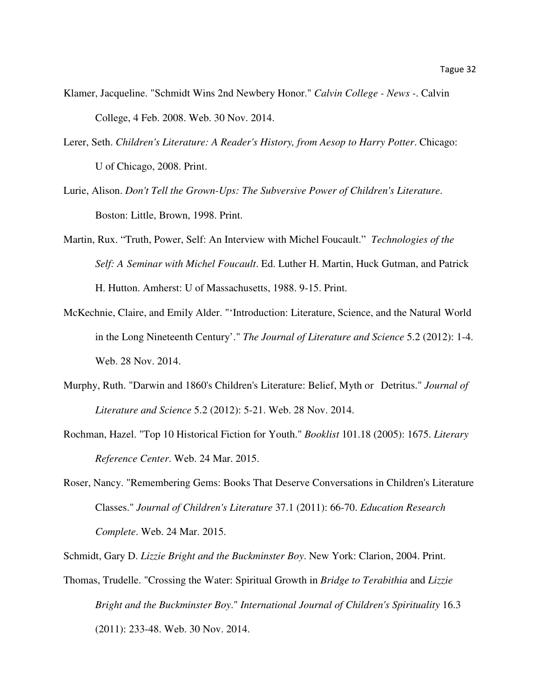- Klamer, Jacqueline. "Schmidt Wins 2nd Newbery Honor." *Calvin College News -*. Calvin College, 4 Feb. 2008. Web. 30 Nov. 2014.
- Lerer, Seth. *Children's Literature: A Reader's History, from Aesop to Harry Potter*. Chicago: U of Chicago, 2008. Print.
- Lurie, Alison. *Don't Tell the Grown-Ups: The Subversive Power of Children's Literature*. Boston: Little, Brown, 1998. Print.
- Martin, Rux. "Truth, Power, Self: An Interview with Michel Foucault." *Technologies of the Self: A Seminar with Michel Foucault*. Ed. Luther H. Martin, Huck Gutman, and Patrick H. Hutton. Amherst: U of Massachusetts, 1988. 9-15. Print.
- McKechnie, Claire, and Emily Alder. "'Introduction: Literature, Science, and the Natural World in the Long Nineteenth Century'." *The Journal of Literature and Science* 5.2 (2012): 1-4. Web. 28 Nov. 2014.
- Murphy, Ruth. "Darwin and 1860's Children's Literature: Belief, Myth or Detritus." *Journal of Literature and Science* 5.2 (2012): 5-21. Web. 28 Nov. 2014.
- Rochman, Hazel. "Top 10 Historical Fiction for Youth." *Booklist* 101.18 (2005): 1675. *Literary Reference Center*. Web. 24 Mar. 2015.
- Roser, Nancy. "Remembering Gems: Books That Deserve Conversations in Children's Literature Classes." *Journal of Children's Literature* 37.1 (2011): 66-70. *Education Research Complete*. Web. 24 Mar. 2015.

Schmidt, Gary D. *Lizzie Bright and the Buckminster Boy*. New York: Clarion, 2004. Print.

Thomas, Trudelle. "Crossing the Water: Spiritual Growth in *Bridge to Terabithia* and *Lizzie Bright and the Buckminster Boy*." *International Journal of Children's Spirituality* 16.3 (2011): 233-48. Web. 30 Nov. 2014.